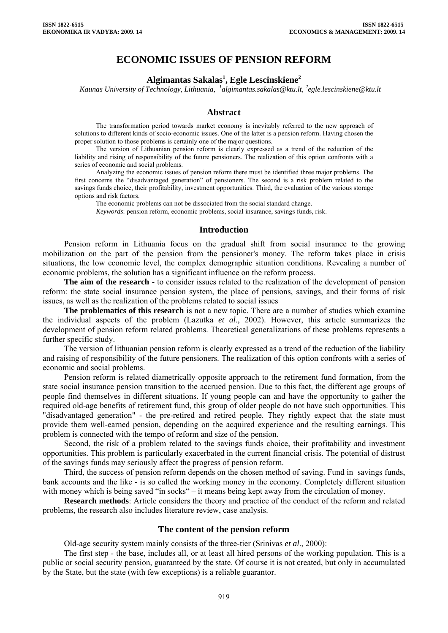# **ECONOMIC ISSUES OF PENSION REFORM**

# **Algimantas Sakalas1 , Egle Lescinskiene2**

*Kaunas University of Technology, Lithuania, <sup>1</sup> algimantas.sakalas@ktu.lt, 2 egle.lescinskiene@ktu.lt* 

#### **Abstract**

The transformation period towards market economy is inevitably referred to the new approach of solutions to different kinds of socio-economic issues. One of the latter is a pension reform. Having chosen the proper solution to those problems is certainly one of the major questions.

The version of Lithuanian pension reform is clearly expressed as a trend of the reduction of the liability and rising of responsibility of the future pensioners. The realization of this option confronts with a series of economic and social problems.

Analyzing the economic issues of pension reform there must be identified three major problems. The first concerns the "disadvantaged generation" of pensioners. The second is a risk problem related to the savings funds choice, their profitability, investment opportunities. Third, the evaluation of the various storage options and risk factors.

The economic problems can not be dissociated from the social standard change.

*Keywords*: pension reform, economic problems, social insurance, savings funds, risk.

#### **Introduction**

Pension reform in Lithuania focus on the gradual shift from social insurance to the growing mobilization on the part of the pension from the pensioner's money. The reform takes place in crisis situations, the low economic level, the complex demographic situation conditions. Revealing a number of economic problems, the solution has a significant influence on the reform process.

**The aim of the research** - to consider issues related to the realization of the development of pension reform: the state social insurance pension system, the place of pensions, savings, and their forms of risk issues, as well as the realization of the problems related to social issues

**The problematics of this research** is not a new topic. There are a number of studies which examine the individual aspects of the problem (Lazutka *et al*., 2002). However, this article summarizes the development of pension reform related problems. Theoretical generalizations of these problems represents a further specific study.

The version of lithuanian pension reform is clearly expressed as a trend of the reduction of the liability and raising of responsibility of the future pensioners. The realization of this option confronts with a series of economic and social problems.

Pension reform is related diametrically opposite approach to the retirement fund formation, from the state social insurance pension transition to the accrued pension. Due to this fact, the different age groups of people find themselves in different situations. If young people can and have the opportunity to gather the required old-age benefits of retirement fund, this group of older people do not have such opportunities. This "disadvantaged generation" - the pre-retired and retired people. They rightly expect that the state must provide them well-earned pension, depending on the acquired experience and the resulting earnings. This problem is connected with the tempo of reform and size of the pension.

Second, the risk of a problem related to the savings funds choice, their profitability and investment opportunities. This problem is particularly exacerbated in the current financial crisis. The potential of distrust of the savings funds may seriously affect the progress of pension reform.

Third, the success of pension reform depends on the chosen method of saving. Fund in savings funds, bank accounts and the like - is so called the working money in the economy. Completely different situation with money which is being saved "in socks" – it means being kept away from the circulation of money.

**Research methods**: Article considers the theory and practice of the conduct of the reform and related problems, the research also includes literature review, case analysis.

### **The content of the pension reform**

Old-age security system mainly consists of the three-tier (Srinivas *et al*., 2000):

The first step - the base, includes all, or at least all hired persons of the working population. This is a public or social security pension, guaranteed by the state. Of course it is not created, but only in accumulated by the State, but the state (with few exceptions) is a reliable guarantor.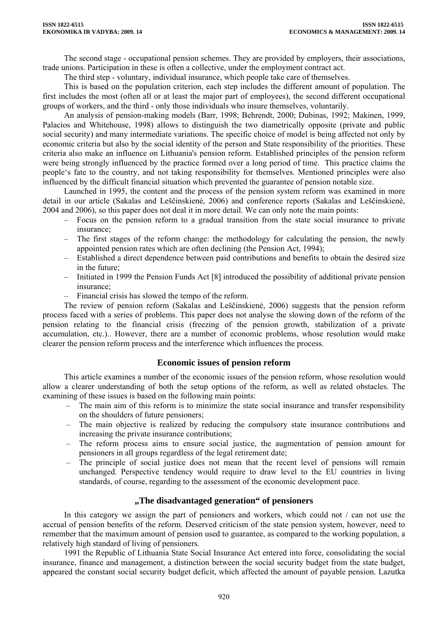The second stage - occupational pension schemes. They are provided by employers, their associations, trade unions. Participation in these is often a collective, under the employment contract act.

The third step - voluntary, individual insurance, which people take care of themselves.

This is based on the population criterion, each step includes the different amount of population. The first includes the most (often all or at least the major part of employees), the second different occupational groups of workers, and the third - only those individuals who insure themselves, voluntarily.

An analysis of pension-making models (Barr, 1998; Behrendt, 2000; Dubinas, 1992; Makinen, 1999, Palacios and Whitehouse, 1998) allows to distinguish the two diametrically opposite (private and public social security) and many intermediate variations. The specific choice of model is being affected not only by economic criteria but also by the social identity of the person and State responsibility of the priorities. These criteria also make an influence on Lithuania's pension reform. Established principles of the pension reform were being strongly influenced by the practice formed over a long period of time. This practice claims the people's fate to the country, and not taking responsibility for themselves. Mentioned principles were also influenced by the difficult financial situation which prevented the guarantee of pension notable size.

Launched in 1995, the content and the process of the pension system reform was examined in more detail in our article (Sakalas and Leščinskienė, 2006) and conference reports (Sakalas and Leščinskienė, 2004 and 2006), so this paper does not deal it in more detail. We can only note the main points:

- Focus on the pension reform to a gradual transition from the state social insurance to private insurance;
- The first stages of the reform change: the methodology for calculating the pension, the newly appointed pension rates which are often declining (the Pension Act, 1994);
- Established a direct dependence between paid contributions and benefits to obtain the desired size in the future;
- Initiated in 1999 the Pension Funds Act [8] introduced the possibility of additional private pension insurance;
- Financial crisis has slowed the tempo of the reform.

The review of pension reform (Sakalas and Leščinskienė, 2006) suggests that the pension reform process faced with a series of problems. This paper does not analyse the slowing down of the reform of the pension relating to the financial crisis (freezing of the pension growth, stabilization of a private accumulation, etc.).. However, there are a number of economic problems, whose resolution would make clearer the pension reform process and the interference which influences the process.

# **Economic issues of pension reform**

This article examines a number of the economic issues of the pension reform, whose resolution would allow a clearer understanding of both the setup options of the reform, as well as related obstacles. The examining of these issues is based on the following main points:

- The main aim of this reform is to minimize the state social insurance and transfer responsibility on the shoulders of future pensioners;
- The main objective is realized by reducing the compulsory state insurance contributions and increasing the private insurance contributions;
- The reform process aims to ensure social justice, the augmentation of pension amount for pensioners in all groups regardless of the legal retirement date;
- The principle of social justice does not mean that the recent level of pensions will remain unchanged. Perspective tendency would require to draw level to the EU countries in living standards, of course, regarding to the assessment of the economic development pace.

# **"The disadvantaged generation" of pensioners**

In this category we assign the part of pensioners and workers, which could not / can not use the accrual of pension benefits of the reform. Deserved criticism of the state pension system, however, need to remember that the maximum amount of pension used to guarantee, as compared to the working population, a relatively high standard of living of pensioners.

1991 the Republic of Lithuania State Social Insurance Act entered into force, consolidating the social insurance, finance and management, a distinction between the social security budget from the state budget, appeared the constant social security budget deficit, which affected the amount of payable pension. Lazutka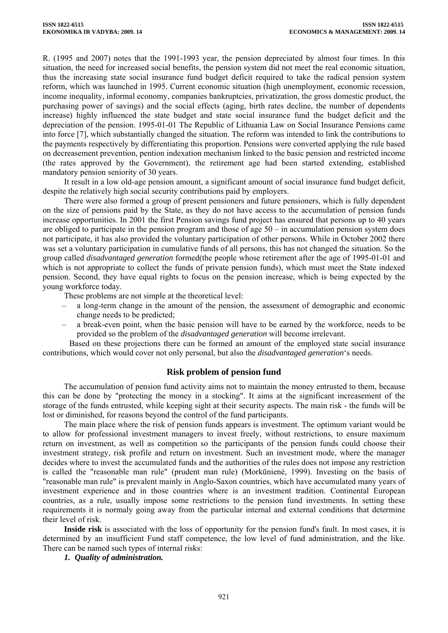R. (1995 and 2007) notes that the 1991-1993 year, the pension depreciated by almost four times. In this situation, the need for increased social benefits, the pension system did not meet the real economic situation, thus the increasing state social insurance fund budget deficit required to take the radical pension system reform, which was launched in 1995. Current economic situation (high unemployment, economic recession, income inequality, informal economy, companies bankruptcies, privatization, the gross domestic product, the purchasing power of savings) and the social effects (aging, birth rates decline, the number of dependents increase) highly influenced the state budget and state social insurance fund the budget deficit and the depreciation of the pension. 1995-01-01 The Republic of Lithuania Law on Social Insurance Pensions came into force [7], which substantially changed the situation. The reform was intended to link the contributions to the payments respectively by differentiating this proportion. Pensions were converted applying the rule based on decreasement prevention, pention indexation mechanism linked to the basic pension and restricted income (the rates approved by the Government), the retirement age had been started extending, established mandatory pension seniority of 30 years.

It result in a low old-age pension amount, a significant amount of social insurance fund budget deficit, despite the relatively high social security contributions paid by employers.

There were also formed a group of present pensioners and future pensioners, which is fully dependent on the size of pensions paid by the State, as they do not have access to the accumulation of pension funds increase opportunities. In 2001 the first Pension savings fund project has ensured that persons up to 40 years are obliged to participate in the pension program and those of age  $50 - in accumulation pension system does$ not participate, it has also provided the voluntary participation of other persons. While in October 2002 there was set a voluntary participation in cumulative funds of all persons, this has not changed the situation. So the group called *disadvantaged generation* formed(the people whose retirement after the age of 1995-01-01 and which is not appropriate to collect the funds of private pension funds), which must meet the State indexed pension. Second, they have equal rights to focus on the pension increase, which is being expected by the young workforce today.

These problems are not simple at the theoretical level:

- a long-term change in the amount of the pension, the assessment of demographic and economic change needs to be predicted;
- a break-even point, when the basic pension will have to be earned by the workforce, needs to be provided so the problem of the *disadvantaged generation* will become irrelevant.

Based on these projections there can be formed an amount of the employed state social insurance contributions, which would cover not only personal, but also the *disadvantaged generation*'s needs.

### **Risk problem of pension fund**

The accumulation of pension fund activity aims not to maintain the money entrusted to them, because this can be done by "protecting the money in a stocking". It aims at the significant increasement of the storage of the funds entrusted, while keeping sight at their security aspects. The main risk - the funds will be lost or diminished, for reasons beyond the control of the fund participants.

The main place where the risk of pension funds appears is investment. The optimum variant would be to allow for professional investment managers to invest freely, without restrictions, to ensure maximum return on investment, as well as competition so the participants of the pension funds could choose their investment strategy, risk profile and return on investment. Such an investment mode, where the manager decides where to invest the accumulated funds and the authorities of the rules does not impose any restriction is called the "reasonable man rule" (prudent man rule) (Morkūnienė, 1999). Investing on the basis of "reasonable man rule" is prevalent mainly in Anglo-Saxon countries, which have accumulated many years of investment experience and in those countries where is an investment tradition. Continental European countries, as a rule, usually impose some restrictions to the pension fund investments. In setting these requirements it is normaly going away from the particular internal and external conditions that determine their level of risk.

**Inside risk** is associated with the loss of opportunity for the pension fund's fault. In most cases, it is determined by an insufficient Fund staff competence, the low level of fund administration, and the like. There can be named such types of internal risks:

*1. Quality of administration.*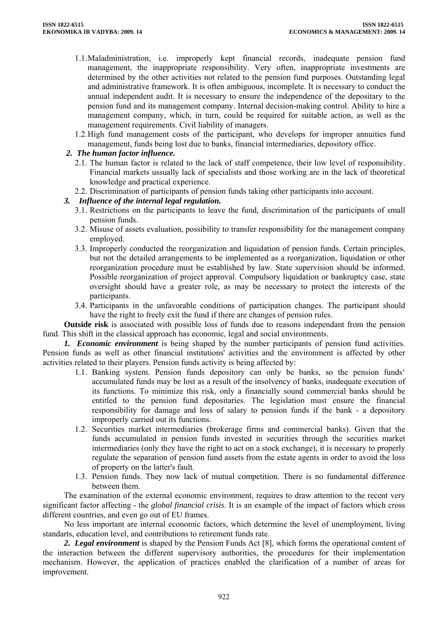- 1.1.Maladministration, i.e. improperly kept financial records, inadequate pension fund management, the inappropriate responsibility. Very often, inappropriate investments are determined by the other activities not related to the pension fund purposes. Outstanding legal and administrative framework. It is often ambiguous, incomplete. It is necessary to conduct the annual independent audit. It is necessary to ensure the independence of the depositary to the pension fund and its management company. Internal decision-making control. Ability to hire a management company, which, in turn, could be required for suitable action, as well as the management requirements. Civil liability of managers.
- 1.2.High fund management costs of the participant, who develops for improper annuities fund management, funds being lost due to banks, financial intermediaries, depository office.

# *2. The human factor influence.*

- 2.1. The human factor is related to the lack of staff competence, their low level of responsibility. Financial markets ussually lack of specialists and those working are in the lack of theoretical knowledge and practical experience.
- 2.2. Discrimination of participants of pension funds taking other participants into account.

# *3. Influence of the internal legal regulation.*

- 3.1. Restrictions on the participants to leave the fund, discrimination of the participants of small pension funds.
- 3.2. Misuse of assets evaluation, possibility to transfer responsibility for the management company employed.
- 3.3. Improperly conducted the reorganization and liquidation of pension funds. Certain principles, but not the detailed arrangements to be implemented as a reorganization, liquidation or other reorganization procedure must be established by law. State supervision should be informed. Possible reorganization of project approval. Compulsory liquidation or bankruptcy case, state oversight should have a greater role, as may be necessary to protect the interests of the participants.
- 3.4. Participants in the unfavorable conditions of participation changes. The participant should have the right to freely exit the fund if there are changes of pension rules.

**Outside risk** is associated with possible loss of funds due to reasons independant from the pension fund. This shift in the classical approach has economic, legal and social environments.

*1. Economic environment* is being shaped by the number participants of pension fund activities. Pension funds as well as other financial institutions' activities and the environment is affected by other activities related to their players. Pension funds activity is being affected by:

- 1.1. Banking system. Pension funds depository can only be banks, so the pension funds' accumulated funds may be lost as a result of the insolvency of banks, inadequate execution of its functions. To minimize this risk, only a financially sound commercial banks should be entitled to the pension fund depositaries. The legislation must ensure the financial responsibility for damage and loss of salary to pension funds if the bank - a depository improperly carried out its functions.
- 1.2. Securities market intermediaries (brokerage firms and commercial banks). Given that the funds accumulated in pension funds invested in securities through the securities market intermediaries (only they have the right to act on a stock exchange), it is necessary to properly regulate the separation of pension fund assets from the estate agents in order to avoid the loss of property on the latter's fault.
- 1.3. Pension funds. They now lack of mutual competition. There is no fundamental difference between them.

The examination of the external economic environment, requires to draw attention to the recent very significant factor affecting - the *global financial crisis*. It is an example of the impact of factors which cross different countries, and even go out of EU frames.

No less important are internal economic factors, which determine the level of unemployment, living standarts, education level, and contributions to retirement funds rate.

*2. Legal environment* is shaped by the Pension Funds Act [8], which forms the operational content of the interaction between the different supervisory authorities, the procedures for their implementation mechanism. However, the application of practices enabled the clarification of a number of areas for improvement.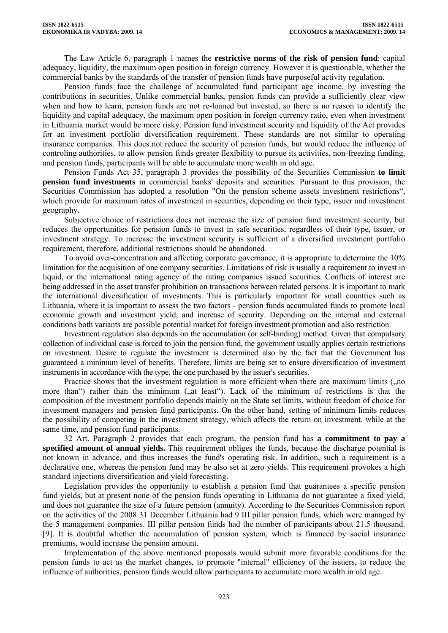The Law Article 6, paragraph 1 names the **restrictive norms of the risk of pension fund**: capital adequacy, liquidity, the maximum open position in foreign currency. However it is questionable, whether the commercial banks by the standards of the transfer of pension funds have purposeful activity regulation.

Pension funds face the challenge of accumulated fund participant age income, by investing the contributions in securities. Unlike commercial banks, pension funds can provide a sufficiently clear view when and how to learn, pension funds are not re-loaned but invested, so there is no reason to identify the liquidity and capital adequacy, the maximum open position in foreign currency ratio, even when investment in Lithuania market would be more risky. Pension fund investment security and liquidity of the Act provides for an investment portfolio diversification requirement. These standards are not similar to operating insurance companies. This does not reduce the security of pension funds, but would reduce the influence of controling authorities, to allow pension funds greater flexibility to pursue its activities, non-freezing funding, and pension funds, participants will be able to accumulate more wealth in old age.

Pension Funds Act 35, paragraph 3 provides the possibility of the Securities Commission **to limit pension fund investments** in commercial banks' deposits and securities. Pursuant to this provision, the Securities Commission has adopted a resolution "On the pension scheme assets investment restrictions", which provide for maximum rates of investment in securities, depending on their type, issuer and investment geography.

Subjective choice of restrictions does not increase the size of pension fund investment security, but reduces the opportunities for pension funds to invest in safe securities, regardless of their type, issuer, or investment strategy. To increase the investment security is sufficient of a diversified investment portfolio requirement, therefore, additional restrictions should be abandoned.

To avoid over-concentration and affecting corporate governance, it is appropriate to determine the 10% limitation for the acquisition of one company securities. Limitations of risk is usually a requirement to invest in liquid, or the international rating agency of the rating companies issued securities. Conflicts of interest are being addressed in the asset transfer prohibition on transactions between related persons. It is important to mark the international diversification of investments. This is particularly important for small countries such as Lithuania, where it is important to assess the two factors - pension funds accumulated funds to promote local economic growth and investment yield, and increase of security. Depending on the internal and external conditions both variants are possible potential market for foreign investment promotion and also restriction.

Investment regulation also depends on the accumulation (or self-binding) method. Given that compulsory collection of individual case is forced to join the pension fund, the government usually applies certain restrictions on investment. Desire to regulate the investment is determined also by the fact that the Government has guaranteed a minimum level of benefits. Therefore, limits are being set to ensure diversification of investment instruments in accordance with the type, the one purchased by the issuer's securities.

Practice shows that the investment regulation is more efficient when there are maximum limits (,,no more than") rather than the minimum ("at least"). Lack of the minimum of restrictions is that the composition of the investment portfolio depends mainly on the State set limits, without freedom of choice for investment managers and pension fund participants. On the other hand, setting of minimum limits reduces the possibility of competing in the investment strategy, which affects the return on investment, while at the same time, and pension fund participants.

32 Art. Paragraph 2 provides that each program, the pension fund has **a commitment to pay a specified amount of annual yields.** This requirement obliges the funds, because the discharge potential is not known in advance, and thus increases the fund's operating risk. In addition, such a requirement is a declarative one, whereas the pension fund may be also set at zero yields. This requirement provokes a high standard injections diversification and yield forecasting.

Legislation provides the opportunity to establish a pension fund that guarantees a specific pension fund yields, but at present none of the pension funds operating in Lithuania do not guarantee a fixed yield, and does not guarantee the size of a future pension (annuity). According to the Securities Commission report on the activities of the 2008 31 December Lithuania had 9 III pillar pension funds, which were managed by the 5 management companies. III pillar pension funds had the number of participants about 21.5 thousand. [9]. It is doubtful whether the accumulation of pension system, which is financed by social insurance premiums, would increase the pension amount.

Implementation of the above mentioned proposals would submit more favorable conditions for the pension funds to act as the market changes, to promote "internal" efficiency of the issuers, to reduce the influence of authorities, pension funds would allow participants to accumulate more wealth in old age.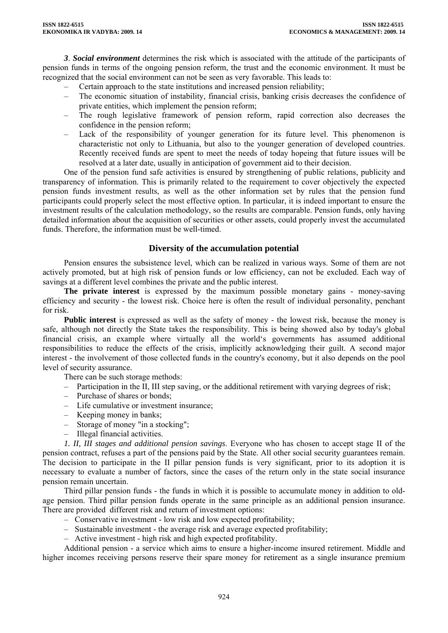*3*. *Social environment* determines the risk which is associated with the attitude of the participants of pension funds in terms of the ongoing pension reform, the trust and the economic environment. It must be recognized that the social environment can not be seen as very favorable. This leads to:

- Certain approach to the state institutions and increased pension reliability;
- The economic situation of instability, financial crisis, banking crisis decreases the confidence of private entities, which implement the pension reform;
- The rough legislative framework of pension reform, rapid correction also decreases the confidence in the pension reform;
- Lack of the responsibility of younger generation for its future level. This phenomenon is characteristic not only to Lithuania, but also to the younger generation of developed countries. Recently received funds are spent to meet the needs of today hopeing that future issues will be resolved at a later date, usually in anticipation of government aid to their decision.

One of the pension fund safe activities is ensured by strengthening of public relations, publicity and transparency of information. This is primarily related to the requirement to cover objectively the expected pension funds investment results, as well as the other information set by rules that the pension fund participants could properly select the most effective option. In particular, it is indeed important to ensure the investment results of the calculation methodology, so the results are comparable. Pension funds, only having detailed information about the acquisition of securities or other assets, could properly invest the accumulated funds. Therefore, the information must be well-timed.

# **Diversity of the accumulation potential**

Pension ensures the subsistence level, which can be realized in various ways. Some of them are not actively promoted, but at high risk of pension funds or low efficiency, can not be excluded. Each way of savings at a different level combines the private and the public interest.

**The private interest** is expressed by the maximum possible monetary gains - money-saving efficiency and security - the lowest risk. Choice here is often the result of individual personality, penchant for risk.

**Public interest** is expressed as well as the safety of money - the lowest risk, because the money is safe, although not directly the State takes the responsibility. This is being showed also by today's global financial crisis, an example where virtually all the world's governments has assumed additional responsibilities to reduce the effects of the crisis, implicitly acknowledging their guilt. A second major interest - the involvement of those collected funds in the country's economy, but it also depends on the pool level of security assurance.

There can be such storage methods:

- Participation in the II, III step saving, or the additional retirement with varying degrees of risk;
- Purchase of shares or bonds;
- Life cumulative or investment insurance;
- Keeping money in banks;
- Storage of money "in a stocking";
- Illegal financial activities.

*1. II, III stages and additional pension savings*. Everyone who has chosen to accept stage II of the pension contract, refuses a part of the pensions paid by the State. All other social security guarantees remain. The decision to participate in the II pillar pension funds is very significant, prior to its adoption it is necessary to evaluate a number of factors, since the cases of the return only in the state social insurance pension remain uncertain.

Third pillar pension funds - the funds in which it is possible to accumulate money in addition to oldage pension. Third pillar pension funds operate in the same principle as an additional pension insurance. There are provided different risk and return of investment options:

- Conservative investment low risk and low expected profitability;
- Sustainable investment the average risk and average expected profitability;
- Active investment high risk and high expected profitability.

Additional pension - a service which aims to ensure a higher-income insured retirement. Middle and higher incomes receiving persons reserve their spare money for retirement as a single insurance premium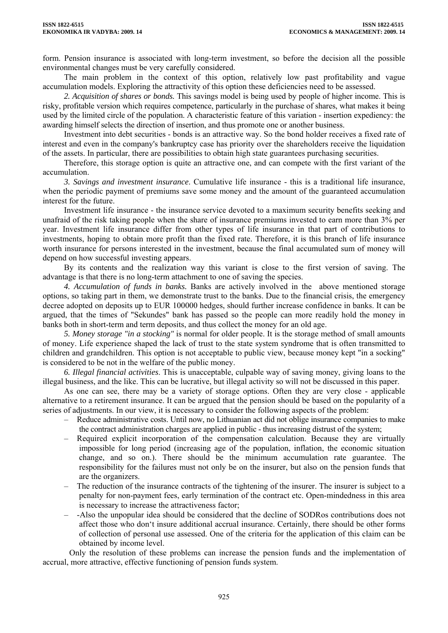form. Pension insurance is associated with long-term investment, so before the decision all the possible environmental changes must be very carefully considered.

The main problem in the context of this option, relatively low past profitability and vague accumulation models. Exploring the attractivity of this option these deficiencies need to be assessed.

*2. Acquisition of shares or bonds.* This savings model is being used by people of higher income. This is risky, profitable version which requires competence, particularly in the purchase of shares, what makes it being used by the limited circle of the population. A characteristic feature of this variation - insertion expediency: the awarding himself selects the direction of insertion, and thus promote one or another business.

Investment into debt securities - bonds is an attractive way. So the bond holder receives a fixed rate of interest and even in the company's bankruptcy case has priority over the shareholders receive the liquidation of the assets. In particular, there are possibilities to obtain high state guarantees purchasing securities.

Therefore, this storage option is quite an attractive one, and can compete with the first variant of the accumulation.

*3. Savings and investment insurance*. Cumulative life insurance - this is a traditional life insurance, when the periodic payment of premiums save some money and the amount of the guaranteed accumulation interest for the future.

Investment life insurance - the insurance service devoted to a maximum security benefits seeking and unafraid of the risk taking people when the share of insurance premiums invested to earn more than 3% per year. Investment life insurance differ from other types of life insurance in that part of contributions to investments, hoping to obtain more profit than the fixed rate. Therefore, it is this branch of life insurance worth insurance for persons interested in the investment, because the final accumulated sum of money will depend on how successful investing appears.

By its contents and the realization way this variant is close to the first version of saving. The advantage is that there is no long-term attachment to one of saving the species.

*4. Accumulation of funds in banks.* Banks are actively involved in the above mentioned storage options, so taking part in them, we demonstrate trust to the banks. Due to the financial crisis, the emergency decree adopted on deposits up to EUR 100000 hedges, should further increase confidence in banks. It can be argued, that the times of "Sekundes" bank has passed so the people can more readily hold the money in banks both in short-term and term deposits, and thus collect the money for an old age.

*5. Money storage "in a stocking"* is normal for older people. It is the storage method of small amounts of money. Life experience shaped the lack of trust to the state system syndrome that is often transmitted to children and grandchildren. This option is not acceptable to public view, because money kept "in a socking" is considered to be not in the welfare of the public money.

*6. Illegal financial activities*. This is unacceptable, culpable way of saving money, giving loans to the illegal business, and the like. This can be lucrative, but illegal activity so will not be discussed in this paper.

As one can see, there may be a variety of storage options. Often they are very close - applicable alternative to a retirement insurance. It can be argued that the pension should be based on the popularity of a series of adjustments. In our view, it is necessary to consider the following aspects of the problem:

- Reduce administrative costs. Until now, no Lithuanian act did not oblige insurance companies to make the contract administration charges are applied in public - thus increasing distrust of the system;
- Required explicit incorporation of the compensation calculation. Because they are virtually impossible for long period (increasing age of the population, inflation, the economic situation change, and so on.). There should be the minimum accumulation rate guarantee. The responsibility for the failures must not only be on the insurer, but also on the pension funds that are the organizers.
- The reduction of the insurance contracts of the tightening of the insurer. The insurer is subject to a penalty for non-payment fees, early termination of the contract etc. Open-mindedness in this area is necessary to increase the attractiveness factor;
- -Also the unpopular idea should be considered that the decline of SODRos contributions does not affect those who don't insure additional accrual insurance. Certainly, there should be other forms of collection of personal use assessed. One of the criteria for the application of this claim can be obtained by income level.

Only the resolution of these problems can increase the pension funds and the implementation of accrual, more attractive, effective functioning of pension funds system.